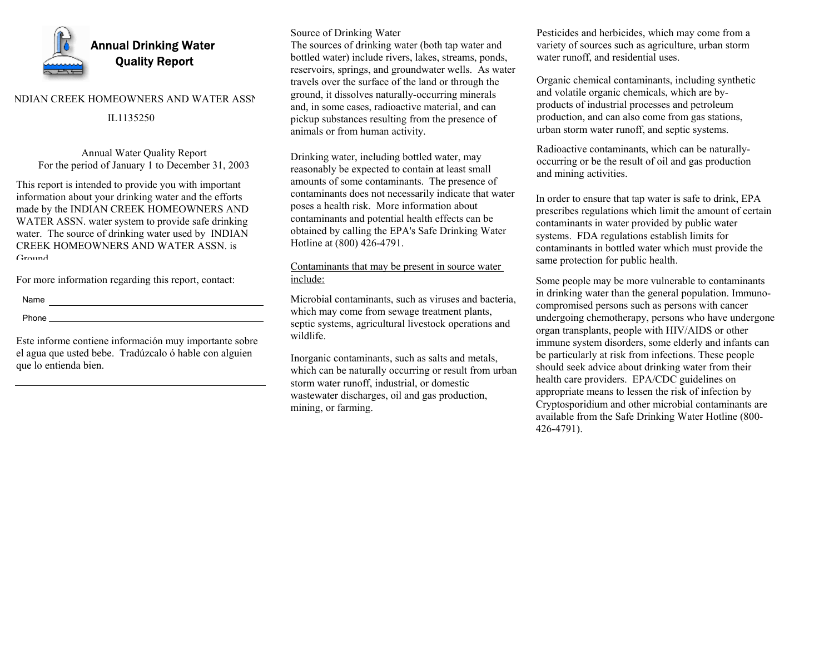

### NDIAN CREEK HOMEOWNERS AND WATER ASSN

# IL1135250

Annual Water Quality Report For the period of January 1 to December 31, 2003

This report is intended to provide you with important information about your drinking water and the efforts made by the INDIAN CREEK HOMEOWNERS AND WATER ASSN. water system to provide safe drinking water. The source of drinking water used by INDIAN CREEK HOMEOWNERS AND WATER ASSN. is Ground

For more information regarding this report, contact:

Name

Phone

Este informe contiene información muy importante sobre el agua que usted bebe. Tradúzcalo ó hable con alguien que lo entienda bien.

## Source of Drinking Water

The sources of drinking water (both tap water and bottled water) include rivers, lakes, streams, ponds, reservoirs, springs, and groundwater wells. As water travels over the surface of the land or through the ground, it dissolves naturally-occurring minerals and, in some cases, radioactive material, and can pickup substances resulting from the presence of animals or from human activity.

Drinking water, including bottled water, may reasonably be expected to contain at least small amounts of some contaminants. The presence of contaminants does not necessarily indicate that water poses a health risk. More information about contaminants and potential health effects can be obtained by calling the EPA's Safe Drinking Water Hotline at (800) 426-4791.

# Contaminants that may be present in source water include:

Microbial contaminants, such as viruses and bacteria, which may come from sewage treatment plants, septic systems, agricultural livestock operations and wildlife.

Inorganic contaminants, such as salts and metals, which can be naturally occurring or result from urban storm water runoff, industrial, or domestic wastewater discharges, oil and gas production, mining, or farming.

Pesticides and herbicides, which may come from a variety of sources such as agriculture, urban storm water runoff, and residential uses.

Organic chemical contaminants, including synthetic and volatile organic chemicals, which are byproducts of industrial processes and petroleum production, and can also come from gas stations, urban storm water runoff, and septic systems.

Radioactive contaminants, which can be naturallyoccurring or be the result of oil and gas production and mining activities.

In order to ensure that tap water is safe to drink, EPA prescribes regulations which limit the amount of certain contaminants in water provided by public water systems. FDA regulations establish limits for contaminants in bottled water which must provide the same protection for public health.

Some people may be more vulnerable to contaminants in drinking water than the general population. Immunocompromised persons such as persons with cancer undergoing chemotherapy, persons who have undergone organ transplants, people with HIV/AIDS or other immune system disorders, some elderly and infants can be particularly at risk from infections. These people should seek advice about drinking water from their health care providers. EPA/CDC guidelines on appropriate means to lessen the risk of infection by Cryptosporidium and other microbial contaminants are available from the Safe Drinking Water Hotline (800- 426-4791).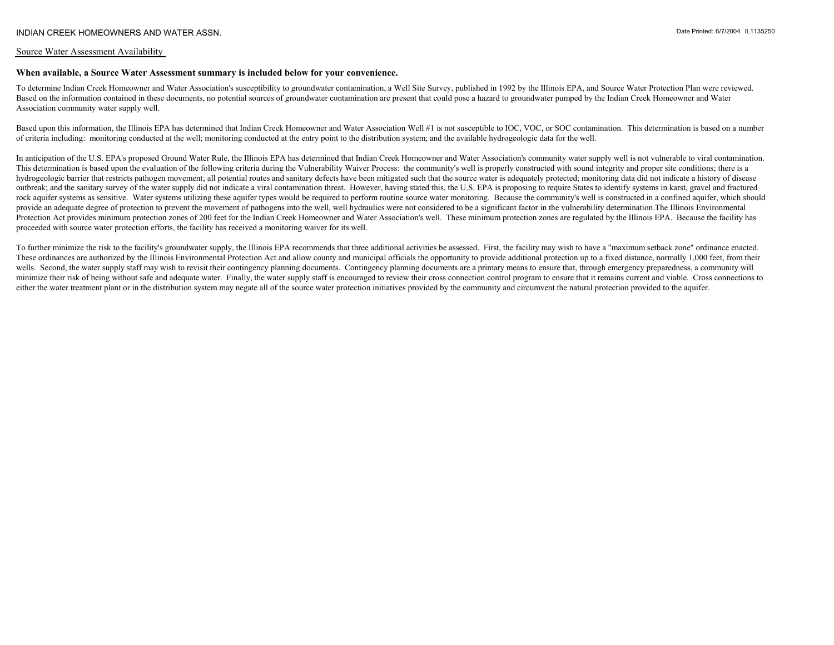#### Source Water Assessment Availability

## **When available, a Source Water Assessment summary is included below for your convenience.**

To determine Indian Creek Homeowner and Water Association's susceptibility to groundwater contamination, a Well Site Survey, published in 1992 by the Illinois EPA, and Source Water Protection Plan were reviewed. Based on the information contained in these documents, no potential sources of groundwater contamination are present that could pose a hazard to groundwater pumped by the Indian Creek Homeowner and Water Association community water supply well.

Based upon this information, the Illinois EPA has determined that Indian Creek Homeowner and Water Association Well #1 is not susceptible to IOC, VOC, or SOC contamination. This determination is based on a number of criteria including: monitoring conducted at the well; monitoring conducted at the entry point to the distribution system; and the available hydrogeologic data for the well.

In anticipation of the U.S. EPA's proposed Ground Water Rule, the Illinois EPA has determined that Indian Creek Homeowner and Water Association's community water supply well is not vulnerable to viral contamination. This determination is based upon the evaluation of the following criteria during the Vulnerability Waiver Process: the community's well is properly constructed with sound integrity and proper site conditions; there is a hydrogeologic barrier that restricts pathogen movement; all potential routes and sanitary defects have been mitigated such that the source water is adequately protected; monitoring data did not indicate a history of disease outbreak; and the sanitary survey of the water supply did not indicate a viral contamination threat. However, having stated this, the U.S. EPA is proposing to require States to identify systems in karst, gravel and fractured rock aquifer systems as sensitive. Water systems utilizing these aquifer types would be required to perform routine source water monitoring. Because the community's well is constructed in a confined aquifer, which should provide an adequate degree of protection to prevent the movement of pathogens into the well, well hydraulics were not considered to be a significant factor in the vulnerability determination.The Illinois Environmental Protection Act provides minimum protection zones of 200 feet for the Indian Creek Homeowner and Water Association's well. These minimum protection zones are regulated by the Illinois EPA. Because the facility has proceeded with source water protection efforts, the facility has received a monitoring waiver for its well.

To further minimize the risk to the facility's groundwater supply, the Illinois EPA recommends that three additional activities be assessed. First, the facility may wish to have a "maximum setback zone" ordinance enacted. These ordinances are authorized by the Illinois Environmental Protection Act and allow county and municipal officials the opportunity to provide additional protection up to a fixed distance, normally 1,000 feet, from their wells. Second, the water supply staff may wish to revisit their contingency planning documents. Contingency planning documents are a primary means to ensure that, through emergency preparedness, a community will minimize their risk of being without safe and adequate water. Finally, the water supply staff is encouraged to review their cross connection control program to ensure that it remains current and viable. Cross connections t either the water treatment plant or in the distribution system may negate all of the source water protection initiatives provided by the community and circumvent the natural protection provided to the aquifer.